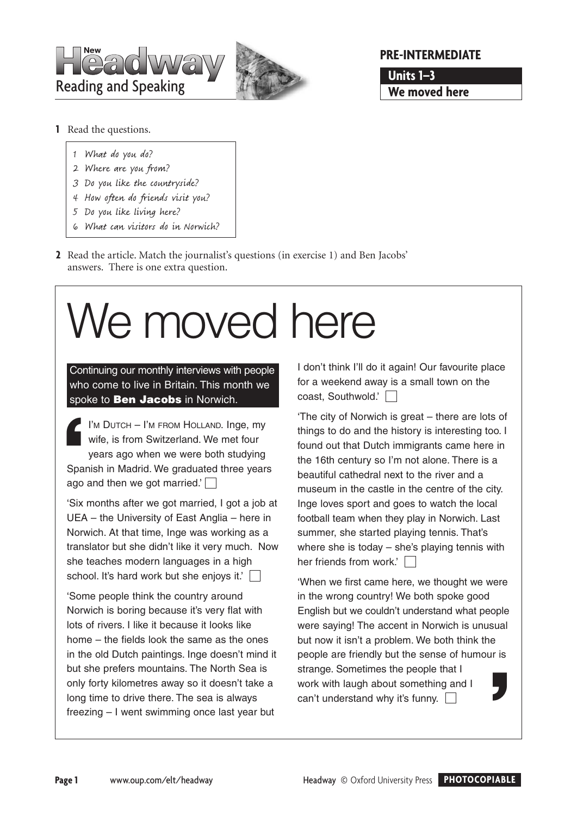



## **PRE-INTERMEDIATE**

**Units 1–3 We moved here**

- **1** Read the questions.
	- 1 What do you do?
	- 2 Where are you from?
	- 3 Do you like the countryside?
	- 4 How often do friends visit you?
	- 5 Do you like living here?
	- 6 What can visitors do in Norwich?
- **2** Read the article. Match the journalist's questions (in exercise 1) and Ben Jacobs' answers. There is one extra question.

# We moved here

Continuing our monthly interviews with people who come to live in Britain. This month we spoke to **Ben Jacobs** in Norwich.

 $\blacksquare$  I'm DUTCH – I'm FROM HOLLAND. Inge, my wife, is from Switzerland. We met four years ago when we were both studying Spanish in Madrid. We graduated three years ago and then we got married.' $\Box$ **Spa**<br>ago

'Six months after we got married, I got a job at UEA – the University of East Anglia – here in Norwich. At that time, Inge was working as a translator but she didn't like it very much. Now she teaches modern languages in a high school. It's hard work but she enjoys it.'

'Some people think the country around Norwich is boring because it's very flat with lots of rivers. I like it because it looks like home – the fields look the same as the ones in the old Dutch paintings. Inge doesn't mind it but she prefers mountains. The North Sea is only forty kilometres away so it doesn't take a long time to drive there. The sea is always freezing – I went swimming once last year but

I don't think I'll do it again! Our favourite place for a weekend away is a small town on the coast, Southwold.'

'The city of Norwich is great – there are lots of things to do and the history is interesting too. I found out that Dutch immigrants came here in the 16th century so I'm not alone. There is a beautiful cathedral next to the river and a museum in the castle in the centre of the city. Inge loves sport and goes to watch the local football team when they play in Norwich. Last summer, she started playing tennis. That's where she is today – she's playing tennis with her friends from work.'

'When we first came here, we thought we were in the wrong country! We both spoke good English but we couldn't understand what people were saying! The accent in Norwich is unusual but now it isn't a problem. We both think the people are friendly but the sense of humour is strange. Sometimes the people that I work with laugh about something and I can't understand why it's funny.  $\Box$ **'**